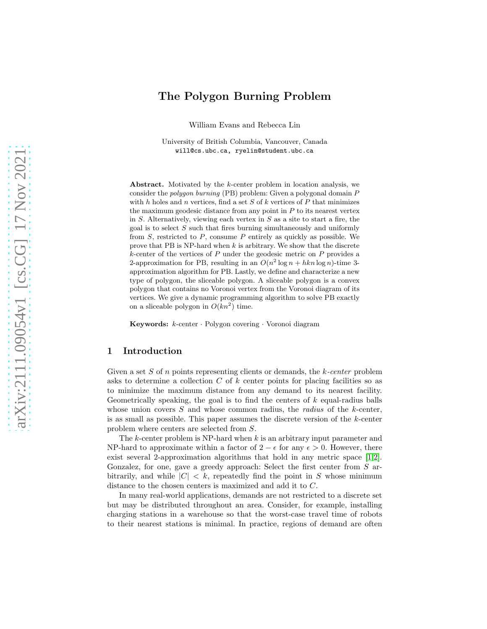# The Polygon Burning Problem

William Evans and Rebecca Lin

University of British Columbia, Vancouver, Canada will@cs.ubc.ca, ryelin@student.ubc.ca

Abstract. Motivated by the k-center problem in location analysis, we consider the polygon burning (PB) problem: Given a polygonal domain P with h holes and n vertices, find a set  $S$  of  $k$  vertices of  $P$  that minimizes the maximum geodesic distance from any point in  $P$  to its nearest vertex in  $S$ . Alternatively, viewing each vertex in  $S$  as a site to start a fire, the goal is to select  $S$  such that fires burning simultaneously and uniformly from  $S$ , restricted to  $P$ , consume  $P$  entirely as quickly as possible. We prove that PB is NP-hard when  $k$  is arbitrary. We show that the discrete  $k$ -center of the vertices of  $P$  under the geodesic metric on  $P$  provides a 2-approximation for PB, resulting in an  $O(n^2 \log n + hkn \log n)$ -time 3approximation algorithm for PB. Lastly, we define and characterize a new type of polygon, the sliceable polygon. A sliceable polygon is a convex polygon that contains no Voronoi vertex from the Voronoi diagram of its vertices. We give a dynamic programming algorithm to solve PB exactly on a sliceable polygon in  $O(kn^2)$  time.

Keywords: k-center · Polygon covering · Voronoi diagram

# 1 Introduction

Given a set  $S$  of  $n$  points representing clients or demands, the  $k$ -center problem asks to determine a collection C of k center points for placing facilities so as to minimize the maximum distance from any demand to its nearest facility. Geometrically speaking, the goal is to find the centers of  $k$  equal-radius balls whose union covers  $S$  and whose common radius, the *radius* of the  $k$ -center, is as small as possible. This paper assumes the discrete version of the k-center problem where centers are selected from S.

The k-center problem is NP-hard when  $k$  is an arbitrary input parameter and NP-hard to approximate within a factor of  $2 - \epsilon$  for any  $\epsilon > 0$ . However, there exist several 2-approximation algorithms that hold in any metric space [\[1](#page-11-0)[,2\]](#page-11-1). Gonzalez, for one, gave a greedy approach: Select the first center from S arbitrarily, and while  $|C| < k$ , repeatedly find the point in S whose minimum distance to the chosen centers is maximized and add it to C.

In many real-world applications, demands are not restricted to a discrete set but may be distributed throughout an area. Consider, for example, installing charging stations in a warehouse so that the worst-case travel time of robots to their nearest stations is minimal. In practice, regions of demand are often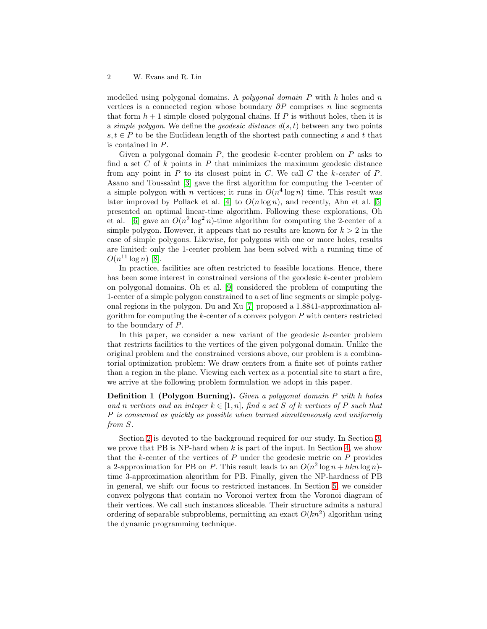modelled using polygonal domains. A *polygonal domain* P with h holes and n vertices is a connected region whose boundary  $\partial P$  comprises n line segments that form  $h+1$  simple closed polygonal chains. If P is without holes, then it is a simple polygon. We define the *geodesic distance*  $d(s, t)$  between any two points  $s, t \in P$  to be the Euclidean length of the shortest path connecting s and t that is contained in P.

Given a polygonal domain  $P$ , the geodesic k-center problem on  $P$  asks to find a set C of k points in P that minimizes the maximum geodesic distance from any point in  $P$  to its closest point in  $C$ . We call  $C$  the k-center of  $P$ . Asano and Toussaint [\[3\]](#page-11-2) gave the first algorithm for computing the 1-center of a simple polygon with *n* vertices; it runs in  $O(n^4 \log n)$  time. This result was later improved by Pollack et al. [\[4\]](#page-11-3) to  $O(n \log n)$ , and recently, Ahn et al. [\[5\]](#page-11-4) presented an optimal linear-time algorithm. Following these explorations, Oh et al. [\[6\]](#page-11-5) gave an  $O(n^2 \log^2 n)$ -time algorithm for computing the 2-center of a simple polygon. However, it appears that no results are known for  $k > 2$  in the case of simple polygons. Likewise, for polygons with one or more holes, results are limited: only the 1-center problem has been solved with a running time of  $O(n^{11} \log n)$  [\[8\]](#page-11-6).

In practice, facilities are often restricted to feasible locations. Hence, there has been some interest in constrained versions of the geodesic k-center problem on polygonal domains. Oh et al. [\[9\]](#page-11-7) considered the problem of computing the 1-center of a simple polygon constrained to a set of line segments or simple polygonal regions in the polygon. Du and Xu [\[7\]](#page-11-8) proposed a 1.8841-approximation algorithm for computing the k-center of a convex polygon P with centers restricted to the boundary of P.

In this paper, we consider a new variant of the geodesic k-center problem that restricts facilities to the vertices of the given polygonal domain. Unlike the original problem and the constrained versions above, our problem is a combinatorial optimization problem: We draw centers from a finite set of points rather than a region in the plane. Viewing each vertex as a potential site to start a fire, we arrive at the following problem formulation we adopt in this paper.

<span id="page-1-0"></span>Definition 1 (Polygon Burning). Given a polygonal domain P with h holes and n vertices and an integer  $k \in [1, n]$ , find a set S of k vertices of P such that P is consumed as quickly as possible when burned simultaneously and uniformly from S.

Section [2](#page-2-0) is devoted to the background required for our study. In Section [3,](#page-2-1) we prove that PB is NP-hard when  $k$  is part of the input. In Section [4,](#page-4-0) we show that the  $k$ -center of the vertices of  $P$  under the geodesic metric on  $P$  provides a 2-approximation for PB on P. This result leads to an  $O(n^2 \log n + hkn \log n)$ time 3-approximation algorithm for PB. Finally, given the NP-hardness of PB in general, we shift our focus to restricted instances. In Section [5,](#page-5-0) we consider convex polygons that contain no Voronoi vertex from the Voronoi diagram of their vertices. We call such instances sliceable. Their structure admits a natural ordering of separable subproblems, permitting an exact  $O(kn^2)$  algorithm using the dynamic programming technique.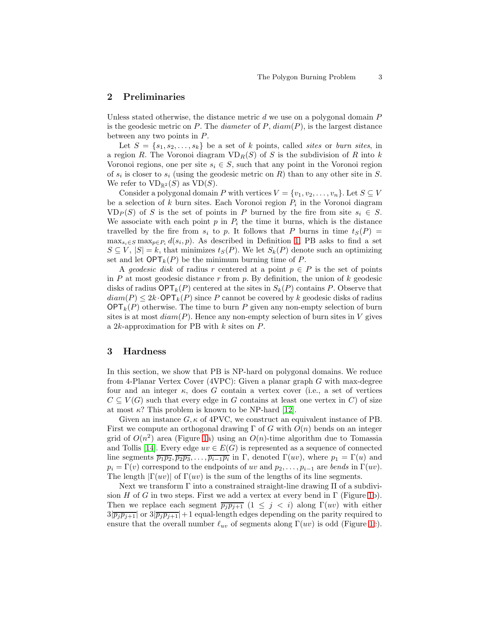## <span id="page-2-0"></span>2 Preliminaries

Unless stated otherwise, the distance metric  $d$  we use on a polygonal domain  $P$ is the geodesic metric on  $P$ . The *diameter* of  $P$ ,  $diam(P)$ , is the largest distance between any two points in P.

Let  $S = \{s_1, s_2, \ldots, s_k\}$  be a set of k points, called sites or burn sites, in a region R. The Voronoi diagram  $VD_R(S)$  of S is the subdivision of R into k Voronoi regions, one per site  $s_i \in S$ , such that any point in the Voronoi region of  $s_i$  is closer to  $s_i$  (using the geodesic metric on R) than to any other site in S. We refer to  $VD_{\mathbb{R}^2}(S)$  as  $VD(S)$ .

Consider a polygonal domain P with vertices  $V = \{v_1, v_2, \ldots, v_n\}$ . Let  $S \subseteq V$ be a selection of  $k$  burn sites. Each Voronoi region  $P_i$  in the Voronoi diagram  $V\mathbb{D}_P(S)$  of S is the set of points in P burned by the fire from site  $s_i \in S$ . We associate with each point  $p$  in  $P_i$  the time it burns, which is the distance travelled by the fire from  $s_i$  to p. It follows that P burns in time  $t_S(P)$  =  $\max_{s_i \in S} \max_{p \in P_i} d(s_i, p)$ . As described in Definition [1,](#page-1-0) PB asks to find a set  $S \subseteq V$ ,  $|S| = k$ , that minimizes  $t_S(P)$ . We let  $S_k(P)$  denote such an optimizing set and let  $\mathsf{OPT}_k(P)$  be the minimum burning time of P.

A geodesic disk of radius r centered at a point  $p \in P$  is the set of points in  $P$  at most geodesic distance  $r$  from  $p$ . By definition, the union of  $k$  geodesic disks of radius  $\mathsf{OPT}_k(P)$  centered at the sites in  $S_k(P)$  contains P. Observe that  $diam(P) \leq 2k \cdot \mathsf{OPT}_k(P)$  since P cannot be covered by k geodesic disks of radius  $\mathsf{OPT}_k(P)$  otherwise. The time to burn P given any non-empty selection of burn sites is at most  $diam(P)$ . Hence any non-empty selection of burn sites in V gives a  $2k$ -approximation for PB with  $k$  sites on  $P$ .

## <span id="page-2-1"></span>3 Hardness

In this section, we show that PB is NP-hard on polygonal domains. We reduce from 4-Planar Vertex Cover (4VPC): Given a planar graph G with max-degree four and an integer  $\kappa$ , does G contain a vertex cover (i.e., a set of vertices  $C \subseteq V(G)$  such that every edge in G contains at least one vertex in C) of size at most  $\kappa$ ? This problem is known to be NP-hard [\[12\]](#page-11-9).

Given an instance  $G, \kappa$  of 4PVC, we construct an equivalent instance of PB. First we compute an orthogonal drawing  $\Gamma$  of G with  $O(n)$  bends on an integer grid of  $O(n^2)$  area (Figure [1a](#page-3-0)) using an  $O(n)$ -time algorithm due to Tomassia and Tollis [\[14\]](#page-12-0). Every edge  $uv \in E(G)$  is represented as a sequence of connected line segments  $\overline{p_1p_2}, \overline{p_2p_3}, \ldots, \overline{p_{i-1}p_i}$  in  $\Gamma$ , denoted  $\Gamma(uv)$ , where  $p_1 = \Gamma(u)$  and  $p_i = \Gamma(v)$  correspond to the endpoints of uv and  $p_2, \ldots, p_{i-1}$  are bends in  $\Gamma(uv)$ . The length  $|\Gamma(uv)|$  of  $\Gamma(uv)$  is the sum of the lengths of its line segments.

Next we transform  $\Gamma$  into a constrained straight-line drawing  $\Pi$  of a subdivision H of G in two steps. First we add a vertex at every bend in  $\Gamma$  (Figure [1b](#page-3-0)). Then we replace each segment  $\overline{p_jp_{j+1}}$   $(1 \leq j \leq i)$  along  $\Gamma(uv)$  with either  $3|\overline{p_jp_{j+1}}|$  or  $3|\overline{p_jp_{j+1}}|+1$  equal-length edges depending on the parity required to ensure that the overall number  $\ell_{uv}$  of segments along  $\Gamma(uv)$  is odd (Figure [1c](#page-3-0)).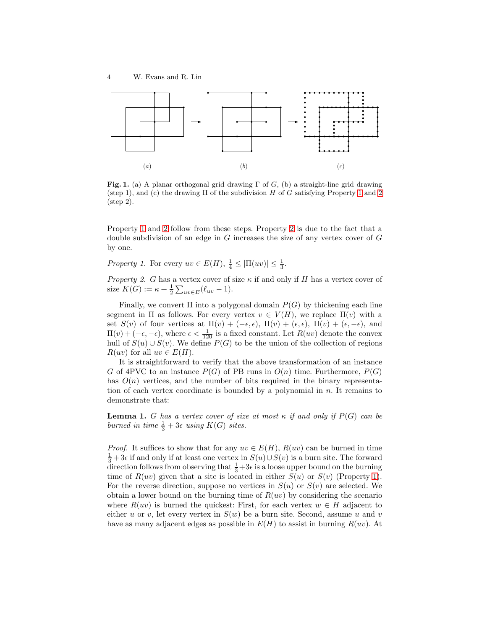

<span id="page-3-0"></span>Fig. 1. (a) A planar orthogonal grid drawing  $\Gamma$  of G, (b) a straight-line grid drawing (step [1](#page-3-1)), and (c) the drawing  $\Pi$  of the subdivision  $H$  of  $G$  satisfying Property 1 and [2](#page-3-2) (step 2).

Property [1](#page-3-1) and [2](#page-3-2) follow from these steps. Property [2](#page-3-2) is due to the fact that a double subdivision of an edge in  $G$  increases the size of any vertex cover of  $G$ by one.

<span id="page-3-1"></span>Property 1. For every  $uv \in E(H)$ ,  $\frac{1}{4} \leq |\Pi(uv)| \leq \frac{1}{3}$ .

<span id="page-3-2"></span>Property 2. G has a vertex cover of size  $\kappa$  if and only if H has a vertex cover of size  $K(G) := \kappa + \frac{1}{2} \sum_{uv \in E} (\ell_{uv} - 1).$ 

Finally, we convert  $\Pi$  into a polygonal domain  $P(G)$  by thickening each line segment in Π as follows. For every vertex  $v \in V(H)$ , we replace  $\Pi(v)$  with a set  $S(v)$  of four vertices at  $\Pi(v) + (-\epsilon, \epsilon)$ ,  $\Pi(v) + (\epsilon, \epsilon)$ ,  $\Pi(v) + (\epsilon, -\epsilon)$ , and  $\Pi(v) + (-\epsilon, -\epsilon)$ , where  $\epsilon < \frac{1}{120}$  is a fixed constant. Let  $R(uv)$  denote the convex hull of  $S(u) \cup S(v)$ . We define  $P(G)$  to be the union of the collection of regions  $R(uv)$  for all  $uv \in E(H)$ .

It is straightforward to verify that the above transformation of an instance G of 4PVC to an instance  $P(G)$  of PB runs in  $O(n)$  time. Furthermore,  $P(G)$ has  $O(n)$  vertices, and the number of bits required in the binary representation of each vertex coordinate is bounded by a polynomial in  $n$ . It remains to demonstrate that:

**Lemma 1.** G has a vertex cover of size at most  $\kappa$  if and only if  $P(G)$  can be burned in time  $\frac{1}{3}+3\epsilon$  using  $K(G)$  sites.

*Proof.* It suffices to show that for any  $uv \in E(H)$ ,  $R(uv)$  can be burned in time  $\frac{1}{3}+3\epsilon$  if and only if at least one vertex in  $S(u) \cup S(v)$  is a burn site. The forward direction follows from observing that  $\frac{1}{3}+3\epsilon$  is a loose upper bound on the burning time of  $R(uv)$  given that a site is located in either  $S(u)$  or  $S(v)$  (Property [1\)](#page-3-1). For the reverse direction, suppose no vertices in  $S(u)$  or  $S(v)$  are selected. We obtain a lower bound on the burning time of  $R(uv)$  by considering the scenario where  $R(uv)$  is burned the quickest: First, for each vertex  $w \in H$  adjacent to either u or v, let every vertex in  $S(w)$  be a burn site. Second, assume u and v have as many adjacent edges as possible in  $E(H)$  to assist in burning  $R(uv)$ . At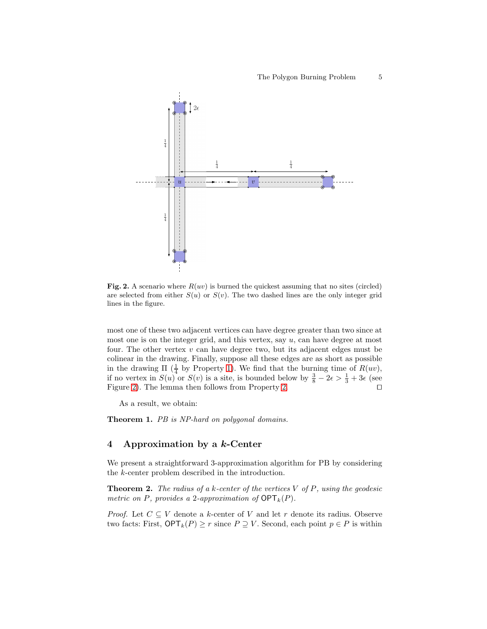

<span id="page-4-1"></span>Fig. 2. A scenario where  $R(uv)$  is burned the quickest assuming that no sites (circled) are selected from either  $S(u)$  or  $S(v)$ . The two dashed lines are the only integer grid lines in the figure.

most one of these two adjacent vertices can have degree greater than two since at most one is on the integer grid, and this vertex, say  $u$ , can have degree at most four. The other vertex  $v$  can have degree two, but its adjacent edges must be colinear in the drawing. Finally, suppose all these edges are as short as possible in the drawing  $\Pi$  ( $\frac{1}{4}$  by Property [1\)](#page-3-1). We find that the burning time of  $R(uv)$ , if no vertex in  $S(u)$  or  $S(v)$  is a site, is bounded below by  $\frac{3}{8} - 2\epsilon > \frac{1}{3} + 3\epsilon$  (see Figure [2\)](#page-4-1). The lemma then follows from Property [2.](#page-3-2) □

As a result, we obtain:

Theorem 1. PB is NP-hard on polygonal domains.

## <span id="page-4-0"></span>4 Approximation by a  $k$ -Center

We present a straightforward 3-approximation algorithm for PB by considering the k-center problem described in the introduction.

**Theorem 2.** The radius of a k-center of the vertices  $V$  of  $P$ , using the geodesic metric on P, provides a 2-approximation of  $\mathsf{OPT}_k(P)$ .

*Proof.* Let  $C \subseteq V$  denote a k-center of V and let r denote its radius. Observe two facts: First,  $\mathsf{OPT}_k(P) \geq r$  since  $P \supseteq V$ . Second, each point  $p \in P$  is within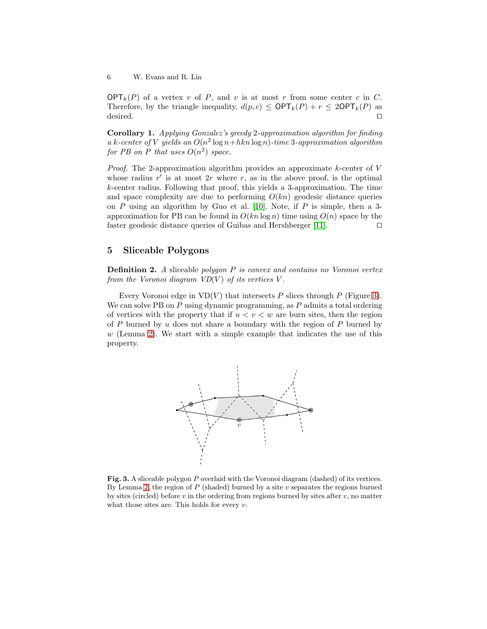$\mathsf{OPT}_k(P)$  of a vertex v of P, and v is at most r from some center c in C. Therefore, by the triangle inequality,  $d(p, c) \le \text{OPT}_k(P) + r \le 2\text{OPT}_k(P)$  as desired. □

Corollary 1. Applying Gonzalez's greedy 2-approximation algorithm for finding a k-center of V yields an  $O(n^2 \log n + hkn \log n)$ -time 3-approximation algorithm for PB on P that uses  $O(n^2)$  space.

*Proof.* The 2-approximation algorithm provides an approximate  $k$ -center of  $V$ whose radius  $r'$  is at most  $2r$  where r, as in the above proof, is the optimal k-center radius. Following that proof, this yields a 3-approximation. The time and space complexity are due to performing  $O(kn)$  geodesic distance queries on P using an algorithm by Guo et al. [\[10\]](#page-11-10). Note, if P is simple, then a 3approximation for PB can be found in  $O(kn \log n)$  time using  $O(n)$  space by the faster geodesic distance queries of Guibas and Hershberger [\[11\]](#page-11-11). ⊓⊔

# <span id="page-5-0"></span>5 Sliceable Polygons

**Definition 2.** A sliceable polygon P is convex and contains no Voronoi vertex from the Voronoi diagram  $VD(V)$  of its vertices V.

Every Voronoi edge in  $VD(V)$  that intersects P slices through P (Figure [3\)](#page-5-1). We can solve PB on  $P$  using dynamic programming, as  $P$  admits a total ordering of vertices with the property that if  $u < v < w$  are burn sites, then the region of P burned by u does not share a boundary with the region of P burned by  $w$  (Lemma [2\)](#page-6-0). We start with a simple example that indicates the use of this property.



<span id="page-5-1"></span>Fig. 3. A sliceable polygon P overlaid with the Voronoi diagram (dashed) of its vertices. By Lemma [2,](#page-6-0) the region of  $P$  (shaded) burned by a site  $v$  separates the regions burned by sites (circled) before  $v$  in the ordering from regions burned by sites after  $v$ , no matter what those sites are. This holds for every  $v$ .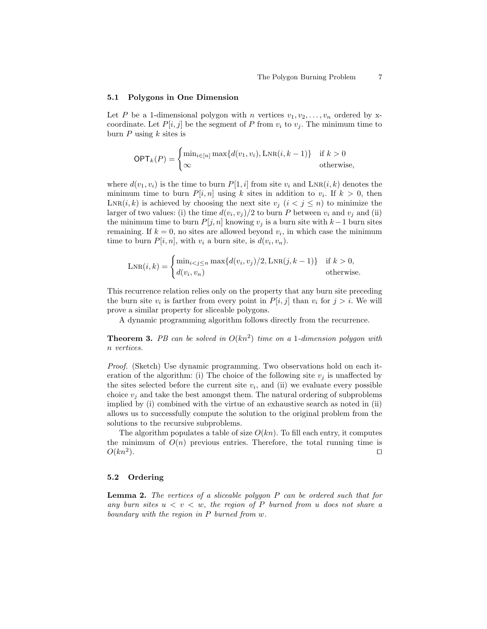#### 5.1 Polygons in One Dimension

Let P be a 1-dimensional polygon with n vertices  $v_1, v_2, \ldots, v_n$  ordered by xcoordinate. Let  $P[i, j]$  be the segment of P from  $v_i$  to  $v_j$ . The minimum time to burn  $P$  using  $k$  sites is

$$
\text{OPT}_k(P) = \begin{cases} \min_{i \in [n]} \max\{d(v_1, v_i), \text{LNR}(i, k-1)\} & \text{if } k > 0\\ \infty & \text{otherwise,} \end{cases}
$$

where  $d(v_1, v_i)$  is the time to burn  $P[1, i]$  from site  $v_i$  and  $\text{LNR}(i, k)$  denotes the minimum time to burn  $P[i, n]$  using k sites in addition to  $v_i$ . If  $k > 0$ , then  $\text{LNR}(i, k)$  is achieved by choosing the next site  $v_j$   $(i < j \leq n)$  to minimize the larger of two values: (i) the time  $d(v_i, v_j)/2$  to burn P between  $v_i$  and  $v_j$  and (ii) the minimum time to burn  $P[j, n]$  knowing  $v_j$  is a burn site with  $k-1$  burn sites remaining. If  $k = 0$ , no sites are allowed beyond  $v_i$ , in which case the minimum time to burn  $P[i, n]$ , with  $v_i$  a burn site, is  $d(v_i, v_n)$ .

$$
LNR(i,k) = \begin{cases} \min_{i < j \le n} \max\{d(v_i, v_j)/2, \text{LNR}(j, k-1)\} & \text{if } k > 0, \\ d(v_i, v_n) & \text{otherwise.} \end{cases}
$$

This recurrence relation relies only on the property that any burn site preceding the burn site  $v_i$  is farther from every point in  $P[i, j]$  than  $v_i$  for  $j > i$ . We will prove a similar property for sliceable polygons.

A dynamic programming algorithm follows directly from the recurrence.

**Theorem 3.** PB can be solved in  $O(kn^2)$  time on a 1-dimension polygon with n vertices.

Proof. (Sketch) Use dynamic programming. Two observations hold on each iteration of the algorithm: (i) The choice of the following site  $v_j$  is unaffected by the sites selected before the current site  $v_i$ , and (ii) we evaluate every possible choice  $v_i$  and take the best amongst them. The natural ordering of subproblems implied by (i) combined with the virtue of an exhaustive search as noted in (ii) allows us to successfully compute the solution to the original problem from the solutions to the recursive subproblems.

The algorithm populates a table of size  $O(kn)$ . To fill each entry, it computes the minimum of  $O(n)$  previous entries. Therefore, the total running time is  $O(kn^2)$ . ). ⊓⊔

#### <span id="page-6-0"></span>5.2 Ordering

**Lemma 2.** The vertices of a sliceable polygon P can be ordered such that for any burn sites  $u < v < w$ , the region of P burned from u does not share a boundary with the region in P burned from w.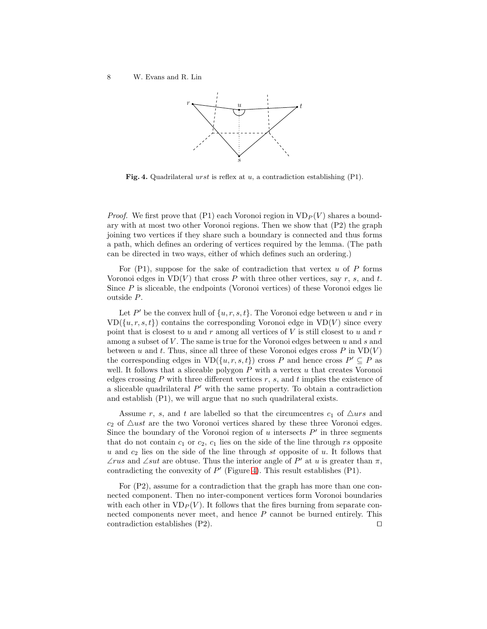8 W. Evans and R. Lin



<span id="page-7-0"></span>Fig. 4. Quadrilateral urst is reflex at  $u$ , a contradiction establishing (P1).

*Proof.* We first prove that (P1) each Voronoi region in  $VD_P(V)$  shares a boundary with at most two other Voronoi regions. Then we show that (P2) the graph joining two vertices if they share such a boundary is connected and thus forms a path, which defines an ordering of vertices required by the lemma. (The path can be directed in two ways, either of which defines such an ordering.)

For  $(P1)$ , suppose for the sake of contradiction that vertex u of P forms Voronoi edges in  $VD(V)$  that cross P with three other vertices, say r, s, and t. Since  $P$  is sliceable, the endpoints (Voronoi vertices) of these Voronoi edges lie outside P.

Let  $P'$  be the convex hull of  $\{u, r, s, t\}$ . The Voronoi edge between u and r in  $VD({u,r,s,t})$  contains the corresponding Voronoi edge in  $VD(V)$  since every point that is closest to  $u$  and  $r$  among all vertices of  $V$  is still closest to  $u$  and  $r$ among a subset of  $V$ . The same is true for the Voronoi edges between  $u$  and  $s$  and between u and t. Thus, since all three of these Voronoi edges cross  $P$  in  $VD(V)$ the corresponding edges in  $VD({u,r,s,t})$  cross P and hence cross  $P' \subseteq P$  as well. It follows that a sliceable polygon  $P$  with a vertex  $u$  that creates Voronoi edges crossing  $P$  with three different vertices  $r$ ,  $s$ , and  $t$  implies the existence of a sliceable quadrilateral  $P'$  with the same property. To obtain a contradiction and establish (P1), we will argue that no such quadrilateral exists.

Assume r, s, and t are labelled so that the circumcentres  $c_1$  of  $\triangle$ urs and  $c_2$  of  $\triangle$ ust are the two Voronoi vertices shared by these three Voronoi edges. Since the boundary of the Voronoi region of  $u$  intersects  $P'$  in three segments that do not contain  $c_1$  or  $c_2$ ,  $c_1$  lies on the side of the line through rs opposite u and  $c_2$  lies on the side of the line through st opposite of u. It follows that ∠rus and ∠sut are obtuse. Thus the interior angle of  $P'$  at u is greater than  $\pi$ , contradicting the convexity of  $P'$  (Figure [4\)](#page-7-0). This result establishes (P1).

For (P2), assume for a contradiction that the graph has more than one connected component. Then no inter-component vertices form Voronoi boundaries with each other in  $VD_P(V)$ . It follows that the fires burning from separate connected components never meet, and hence P cannot be burned entirely. This contradiction establishes (P2). ⊓⊔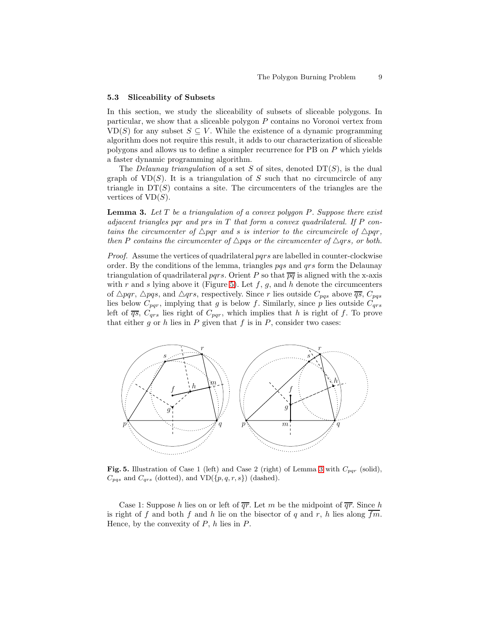#### 5.3 Sliceability of Subsets

In this section, we study the sliceability of subsets of sliceable polygons. In particular, we show that a sliceable polygon P contains no Voronoi vertex from VD(S) for any subset  $S \subseteq V$ . While the existence of a dynamic programming algorithm does not require this result, it adds to our characterization of sliceable polygons and allows us to define a simpler recurrence for PB on P which yields a faster dynamic programming algorithm.

The *Delaunay triangulation* of a set S of sites, denoted  $DT(S)$ , is the dual graph of  $VD(S)$ . It is a triangulation of S such that no circumcircle of any triangle in  $DT(S)$  contains a site. The circumcenters of the triangles are the vertices of  $VD(S)$ .

<span id="page-8-1"></span>**Lemma 3.** Let  $T$  be a triangulation of a convex polygon  $P$ . Suppose there exist adjacent triangles par and prs in  $T$  that form a convex quadrilateral. If P contains the circumcenter of  $\triangle pqr$  and s is interior to the circumcircle of  $\triangle pqr$ , then P contains the circumcenter of  $\triangle pqs$  or the circumcenter of  $\triangle qrs$ , or both.

Proof. Assume the vertices of quadrilateral pars are labelled in counter-clockwise order. By the conditions of the lemma, triangles pqs and qrs form the Delaunay triangulation of quadrilateral pqrs. Orient P so that  $\overline{pq}$  is aligned with the x-axis with r and s lying above it (Figure [5\)](#page-8-0). Let  $f, g$ , and h denote the circumcenters of  $\triangle pqr$ ,  $\triangle pqs$ , and  $\triangle qrs$ , respectively. Since r lies outside  $C_{pqs}$  above  $\overline{qs}$ ,  $C_{pqs}$ lies below  $C_{pqr}$ , implying that g is below f. Similarly, since p lies outside  $C_{qrs}$ left of  $\overline{qs}$ ,  $C_{qrs}$  lies right of  $C_{pqr}$ , which implies that h is right of f. To prove that either g or h lies in  $P$  given that  $f$  is in  $P$ , consider two cases:



<span id="page-8-0"></span>**Fig. 5.** Illustration of Case 1 (left) and Case 2 (right) of Lemma [3](#page-8-1) with  $C_{pqr}$  (solid),  $C_{pqs}$  and  $C_{qrs}$  (dotted), and  $VD({p, q, r, s})$  (dashed).

Case 1: Suppose h lies on or left of  $\overline{qr}$ . Let m be the midpoint of  $\overline{qr}$ . Since h is right of f and both f and h lie on the bisector of q and r, h lies along  $\overline{fm}$ . Hence, by the convexity of  $P$ ,  $h$  lies in  $P$ .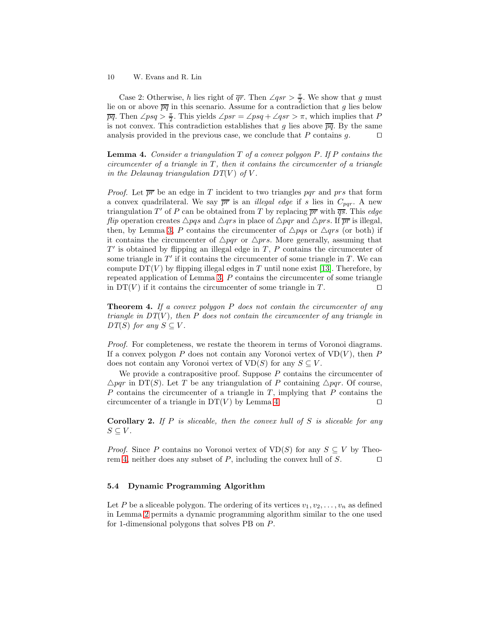10 W. Evans and R. Lin

Case 2: Otherwise, h lies right of  $\overline{qr}$ . Then  $\angle qsr > \frac{\pi}{2}$ . We show that g must lie on or above  $\overline{pq}$  in this scenario. Assume for a contradiction that g lies below  $\overline{pq}$ . Then  $\angle psq > \frac{\pi}{2}$ . This yields  $\angle psr = \angle psq + \angle qsr > \pi$ , which implies that P is not convex. This contradiction establishes that g lies above  $\overline{pq}$ . By the same analysis provided in the previous case, we conclude that P contains g.  $□$ 

<span id="page-9-0"></span>**Lemma 4.** Consider a triangulation  $T$  of a convex polygon  $P$ . If  $P$  contains the circumcenter of a triangle in  $T$ , then it contains the circumcenter of a triangle in the Delaunay triangulation  $DT(V)$  of V.

*Proof.* Let  $\overline{pr}$  be an edge in T incident to two triangles par and prs that form a convex quadrilateral. We say  $\overline{pr}$  is an *illegal edge* if s lies in  $C_{pqr}$ . A new triangulation T' of P can be obtained from T by replacing  $\overline{pr}$  with  $\overline{qs}$ . This edge flip operation creates  $\triangle pqs$  and  $\triangle qrs$  in place of  $\triangle pqr$  and  $\triangle prs$ . If  $\overline{pr}$  is illegal, then, by Lemma [3,](#page-8-1) P contains the circumcenter of  $\triangle pqs$  or  $\triangle qrs$  (or both) if it contains the circumcenter of  $\triangle pqr$  or  $\triangle prs$ . More generally, assuming that  $T'$  is obtained by flipping an illegal edge in  $T$ ,  $P$  contains the circumcenter of some triangle in  $T'$  if it contains the circumcenter of some triangle in  $T$ . We can compute  $DT(V)$  by flipping illegal edges in T until none exist [\[13\]](#page-12-1). Therefore, by repeated application of Lemma [3,](#page-8-1) P contains the circumcenter of some triangle in DT(V) if it contains the circumcenter of some triangle in T.  $\Box$ 

<span id="page-9-1"></span>**Theorem 4.** If a convex polygon  $P$  does not contain the circumcenter of any triangle in  $DT(V)$ , then P does not contain the circumcenter of any triangle in  $DT(S)$  for any  $S \subseteq V$ .

Proof. For completeness, we restate the theorem in terms of Voronoi diagrams. If a convex polygon P does not contain any Voronoi vertex of  $VD(V)$ , then P does not contain any Voronoi vertex of  $VD(S)$  for any  $S \subseteq V$ .

We provide a contrapositive proof. Suppose  $P$  contains the circumcenter of  $\triangle pqr$  in DT(S). Let T be any triangulation of P containing  $\triangle pqr$ . Of course,  $P$  contains the circumcenter of a triangle in  $T$ , implying that  $P$  contains the circumcenter of a triangle in DT(V) by Lemma [4.](#page-9-0) □

<span id="page-9-2"></span>**Corollary 2.** If P is sliceable, then the convex hull of S is sliceable for any  $S \subseteq V.$ 

*Proof.* Since P contains no Voronoi vertex of  $VD(S)$  for any  $S \subseteq V$  by Theo-rem [4,](#page-9-1) neither does any subset of P, including the convex hull of S. □

### 5.4 Dynamic Programming Algorithm

Let P be a sliceable polygon. The ordering of its vertices  $v_1, v_2, \ldots, v_n$  as defined in Lemma [2](#page-6-0) permits a dynamic programming algorithm similar to the one used for 1-dimensional polygons that solves PB on P.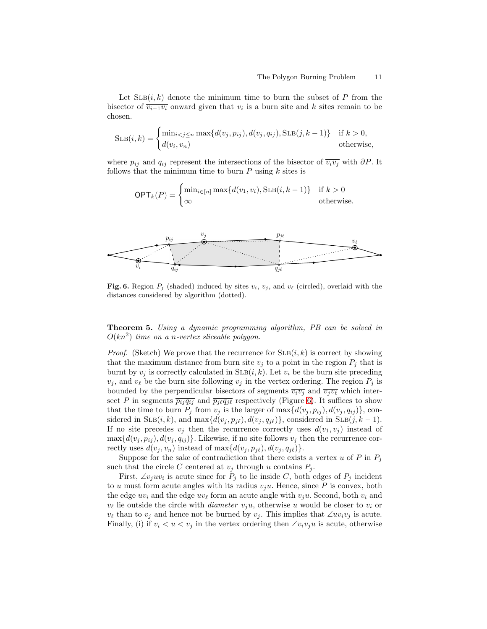Let  $\text{SLB}(i, k)$  denote the minimum time to burn the subset of P from the bisector of  $\overline{v_{i-1}v_i}$  onward given that  $v_i$  is a burn site and k sites remain to be chosen.

$$
SLB(i,k) = \begin{cases} \min_{i < j \le n} \max\{d(v_j, p_{ij}), d(v_j, q_{ij}), SLB(j, k-1)\} & \text{if } k > 0, \\ d(v_i, v_n) & \text{otherwise,} \end{cases}
$$

where  $p_{ij}$  and  $q_{ij}$  represent the intersections of the bisector of  $\overline{v_i v_j}$  with  $\partial P$ . It follows that the minimum time to burn  $P$  using  $k$  sites is

$$
\mathsf{OPT}_k(P) = \begin{cases} \min_{i \in [n]} \max\{d(v_1, v_i), \text{SLB}(i, k-1)\} & \text{if } k > 0\\ \infty & \text{otherwise.} \end{cases}
$$



<span id="page-10-0"></span>Fig. 6. Region  $P_j$  (shaded) induced by sites  $v_i$ ,  $v_j$ , and  $v_\ell$  (circled), overlaid with the distances considered by algorithm (dotted).

Theorem 5. Using a dynamic programming algorithm, PB can be solved in  $O(kn^2)$  time on a n-vertex sliceable polygon.

*Proof.* (Sketch) We prove that the recurrence for  $\text{SLB}(i, k)$  is correct by showing that the maximum distance from burn site  $v_j$  to a point in the region  $P_j$  that is burnt by  $v_i$  is correctly calculated in  $\text{SLB}(i, k)$ . Let  $v_i$  be the burn site preceding  $v_j$ , and  $v_\ell$  be the burn site following  $v_j$  in the vertex ordering. The region  $P_j$  is bounded by the perpendicular bisectors of segments  $\overline{v_i v_j}$  and  $\overline{v_j v_\ell}$  which intersect P in segments  $\overline{p_{ij}q_{ij}}$  and  $\overline{p_{j\ell}q_{j\ell}}$  respectively (Figure [6\)](#page-10-0). It suffices to show that the time to burn  $P_j$  from  $v_j$  is the larger of max $\{d(v_j, p_{ij}), d(v_j, q_{ij})\}$ , considered in SLB(i, k), and max $\{d(v_j, p_{j\ell}), d(v_j, q_{j\ell})\}$ , considered in SLB(j, k – 1). If no site precedes  $v_i$  then the recurrence correctly uses  $d(v_1, v_j)$  instead of  $\max\{d(v_i, p_{ij}), d(v_i, q_{ij})\}.$  Likewise, if no site follows  $v_i$  then the recurrence correctly uses  $d(v_j, v_n)$  instead of max $\{d(v_j, p_{j\ell}), d(v_j, q_{j\ell})\}.$ 

Suppose for the sake of contradiction that there exists a vertex u of P in  $P_j$ such that the circle C centered at  $v_j$  through u contains  $P_j$ .

First,  $\angle v_j u v_i$  is acute since for  $P_j$  to lie inside C, both edges of  $P_j$  incident to u must form acute angles with its radius  $v_iu$ . Hence, since P is convex, both the edge  $uv_i$  and the edge  $uv_\ell$  form an acute angle with  $v_iu$ . Second, both  $v_i$  and  $v_{\ell}$  lie outside the circle with *diameter*  $v_i u$ , otherwise u would be closer to  $v_i$  or  $v_{\ell}$  than to  $v_j$  and hence not be burned by  $v_j$ . This implies that  $\angle uv_i v_j$  is acute. Finally, (i) if  $v_i < u < v_j$  in the vertex ordering then  $\angle v_i v_j u$  is acute, otherwise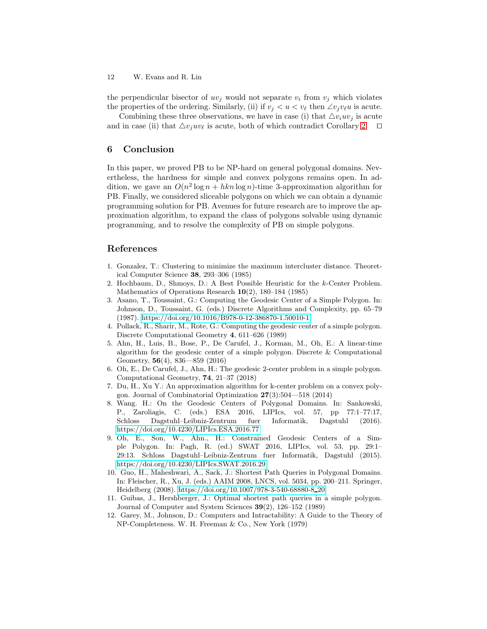12 W. Evans and R. Lin

the perpendicular bisector of  $uv_j$  would not separate  $v_i$  from  $v_j$  which violates the properties of the ordering. Similarly, (ii) if  $v_j < u < v_\ell$  then  $\angle v_j v_\ell u$  is acute.

Combining these three observations, we have in case (i) that  $\triangle v_i u v_j$  is acute and in case (ii) that  $\Delta v_i u v_\ell$  is acute, both of which contradict Corollary [2.](#page-9-2) □

# 6 Conclusion

In this paper, we proved PB to be NP-hard on general polygonal domains. Nevertheless, the hardness for simple and convex polygons remains open. In addition, we gave an  $O(n^2 \log n + hkn \log n)$ -time 3-approximation algorithm for PB. Finally, we considered sliceable polygons on which we can obtain a dynamic programming solution for PB. Avenues for future research are to improve the approximation algorithm, to expand the class of polygons solvable using dynamic programming, and to resolve the complexity of PB on simple polygons.

# <span id="page-11-0"></span>References

- 1. Gonzalez, T.: Clustering to minimize the maximum intercluster distance. Theoretical Computer Science 38, 293–306 (1985)
- <span id="page-11-1"></span>2. Hochbaum, D., Shmoys, D.: A Best Possible Heuristic for the k-Center Problem. Mathematics of Operations Research 10(2), 180–184 (1985)
- <span id="page-11-2"></span>3. Asano, T., Toussaint, G.: Computing the Geodesic Center of a Simple Polygon. In: Johnson, D., Toussaint, G. (eds.) Discrete Algorithms and Complexity, pp. 65–79 (1987).<https://doi.org/10.1016/B978-0-12-386870-1.50010-1>
- <span id="page-11-3"></span>4. Pollack, R., Sharir, M., Rote, G.: Computing the geodesic center of a simple polygon. Discrete Computational Geometry 4, 611–626 (1989)
- <span id="page-11-4"></span>5. Ahn, H., Luis, B., Bose, P., De Carufel, J., Korman, M., Oh, E.: A linear-time algorithm for the geodesic center of a simple polygon. Discrete & Computational Geometry, 56(4), 836—859 (2016)
- <span id="page-11-5"></span>6. Oh, E., De Carufel, J., Ahn, H.: The geodesic 2-center problem in a simple polygon. Computational Geometry, 74, 21–37 (2018)
- <span id="page-11-8"></span>7. Du, H., Xu Y.: An approximation algorithm for k-center problem on a convex polygon. Journal of Combinatorial Optimization 27(3):504—518 (2014)
- <span id="page-11-6"></span>8. Wang. H.: On the Geodesic Centers of Polygonal Domains. In: Sankowski, P., Zaroliagis, C. (eds.) ESA 2016, LIPIcs, vol. 57, pp 77:1–77:17, Schloss Dagstuhl–Leibniz-Zentrum fuer Informatik, Dagstuhl (2016). <https://doi.org/10.4230/LIPIcs.ESA.2016.77>
- <span id="page-11-7"></span>9. Oh, E., Son, W., Ahn., H.: Constrained Geodesic Centers of a Simple Polygon. In: Pagh, R. (ed.) SWAT 2016, LIPIcs, vol. 53, pp. 29:1– 29:13. Schloss Dagstuhl–Leibniz-Zentrum fuer Informatik, Dagstuhl (2015). <https://doi.org/10.4230/LIPIcs.SWAT.2016.29>
- <span id="page-11-10"></span>10. Guo, H., Maheshwari, A., Sack, J.: Shortest Path Queries in Polygonal Domains. In: Fleischer, R., Xu, J. (eds.) AAIM 2008, LNCS, vol. 5034, pp. 200–211. Springer, Heidelberg (2008). [https://doi.org/10.1007/978-3-540-68880-8](https://doi.org/10.1007/978-3-540-68880-8_20) 20
- <span id="page-11-11"></span>11. Guibas, J., Hershberger, J.: Optimal shortest path queries in a simple polygon. Journal of Computer and System Sciences 39(2), 126–152 (1989)
- <span id="page-11-9"></span>12. Garey, M., Johnson, D.: Computers and Intractability: A Guide to the Theory of NP-Completeness. W. H. Freeman & Co., New York (1979)